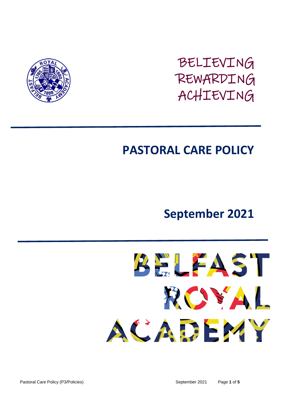

# BELIEVING REWARDING ACHIEVING

# **PASTORAL CARE POLICY**

# **September 2021**

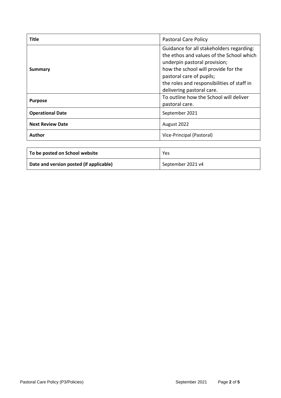| <b>Title</b>            | <b>Pastoral Care Policy</b>                                                                                                                                                                                                                                        |
|-------------------------|--------------------------------------------------------------------------------------------------------------------------------------------------------------------------------------------------------------------------------------------------------------------|
| Summary                 | Guidance for all stakeholders regarding:<br>the ethos and values of the School which<br>underpin pastoral provision;<br>how the school will provide for the<br>pastoral care of pupils;<br>the roles and responsibilities of staff in<br>delivering pastoral care. |
| <b>Purpose</b>          | To outline how the School will deliver<br>pastoral care.                                                                                                                                                                                                           |
| <b>Operational Date</b> | September 2021                                                                                                                                                                                                                                                     |
| <b>Next Review Date</b> | August 2022                                                                                                                                                                                                                                                        |
| Author                  | Vice-Principal (Pastoral)                                                                                                                                                                                                                                          |

| To be posted on School website          | Yes               |
|-----------------------------------------|-------------------|
| Date and version posted (if applicable) | September 2021 v4 |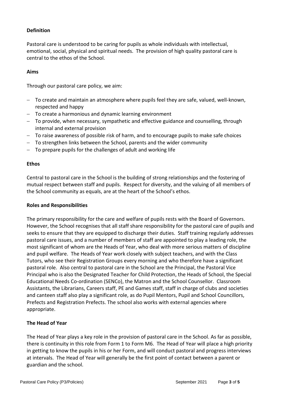# **Definition**

Pastoral care is understood to be caring for pupils as whole individuals with intellectual, emotional, social, physical and spiritual needs. The provision of high quality pastoral care is central to the ethos of the School.

#### **Aims**

Through our pastoral care policy, we aim:

- To create and maintain an atmosphere where pupils feel they are safe, valued, well-known, respected and happy
- $-$  To create a harmonious and dynamic learning environment
- To provide, when necessary, sympathetic and effective guidance and counselling, through internal and external provision
- To raise awareness of possible risk of harm, and to encourage pupils to make safe choices
- To strengthen links between the School, parents and the wider community
- $-$  To prepare pupils for the challenges of adult and working life

#### **Ethos**

Central to pastoral care in the School is the building of strong relationships and the fostering of mutual respect between staff and pupils. Respect for diversity, and the valuing of all members of the School community as equals, are at the heart of the School's ethos.

#### **Roles and Responsibilities**

The primary responsibility for the care and welfare of pupils rests with the Board of Governors. However, the School recognises that all staff share responsibility for the pastoral care of pupils and seeks to ensure that they are equipped to discharge their duties. Staff training regularly addresses pastoral care issues, and a number of members of staff are appointed to play a leading role, the most significant of whom are the Heads of Year, who deal with more serious matters of discipline and pupil welfare. The Heads of Year work closely with subject teachers, and with the Class Tutors, who see their Registration Groups every morning and who therefore have a significant pastoral role. Also central to pastoral care in the School are the Principal, the Pastoral Vice Principal who is also the Designated Teacher for Child Protection, the Heads of School, the Special Educational Needs Co-ordination (SENCo), the Matron and the School Counsellor. Classroom Assistants, the Librarians, Careers staff, PE and Games staff, staff in charge of clubs and societies and canteen staff also play a significant role, as do Pupil Mentors, Pupil and School Councillors, Prefects and Registration Prefects. The school also works with external agencies where appropriate.

#### **The Head of Year**

The Head of Year plays a key role in the provision of pastoral care in the School. As far as possible, there is continuity in this role from Form 1 to Form M6. The Head of Year will place a high priority in getting to know the pupils in his or her Form, and will conduct pastoral and progress interviews at intervals. The Head of Year will generally be the first point of contact between a parent or guardian and the school.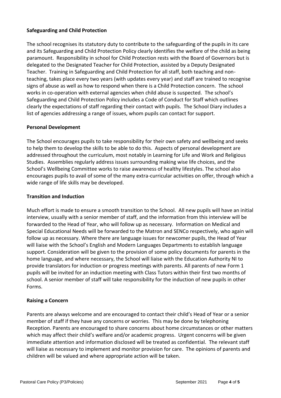# **Safeguarding and Child Protection**

The school recognises its statutory duty to contribute to the safeguarding of the pupils in its care and its Safeguarding and Child Protection Policy clearly identifies the welfare of the child as being paramount. Responsibility in school for Child Protection rests with the Board of Governors but is delegated to the Designated Teacher for Child Protection, assisted by a Deputy Designated Teacher. Training in Safeguarding and Child Protection for all staff, both teaching and nonteaching, takes place every two years (with updates every year) and staff are trained to recognise signs of abuse as well as how to respond when there is a Child Protection concern. The school works in co-operation with external agencies when child abuse is suspected. The school's Safeguarding and Child Protection Policy includes a Code of Conduct for Staff which outlines clearly the expectations of staff regarding their contact with pupils. The School Diary includes a list of agencies addressing a range of issues, whom pupils can contact for support.

#### **Personal Development**

The School encourages pupils to take responsibility for their own safety and wellbeing and seeks to help them to develop the skills to be able to do this. Aspects of personal development are addressed throughout the curriculum, most notably in Learning for Life and Work and Religious Studies. Assemblies regularly address issues surrounding making wise life choices, and the School's Wellbeing Committee works to raise awareness of healthy lifestyles. The school also encourages pupils to avail of some of the many extra-curricular activities on offer, through which a wide range of life skills may be developed.

## **Transition and Induction**

Much effort is made to ensure a smooth transition to the School. All new pupils will have an initial interview, usually with a senior member of staff, and the information from this interview will be forwarded to the Head of Year, who will follow up as necessary. Information on Medical and Special Educational Needs will be forwarded to the Matron and SENCo respectively, who again will follow up as necessary. Where there are language issues for newcomer pupils, the Head of Year will liaise with the School's English and Modern Languages Departments to establish language support. Consideration will be given to the provision of some policy documents for parents in the home language, and where necessary, the School will liaise with the Education Authority NI to provide translators for induction or progress meetings with parents. All parents of new Form 1 pupils will be invited for an induction meeting with Class Tutors within their first two months of school. A senior member of staff will take responsibility for the induction of new pupils in other Forms.

#### **Raising a Concern**

Parents are always welcome and are encouraged to contact their child's Head of Year or a senior member of staff if they have any concerns or worries. This may be done by telephoning Reception. Parents are encouraged to share concerns about home circumstances or other matters which may affect their child's welfare and/or academic progress. Urgent concerns will be given immediate attention and information disclosed will be treated as confidential. The relevant staff will liaise as necessary to implement and monitor provision for care. The opinions of parents and children will be valued and where appropriate action will be taken.